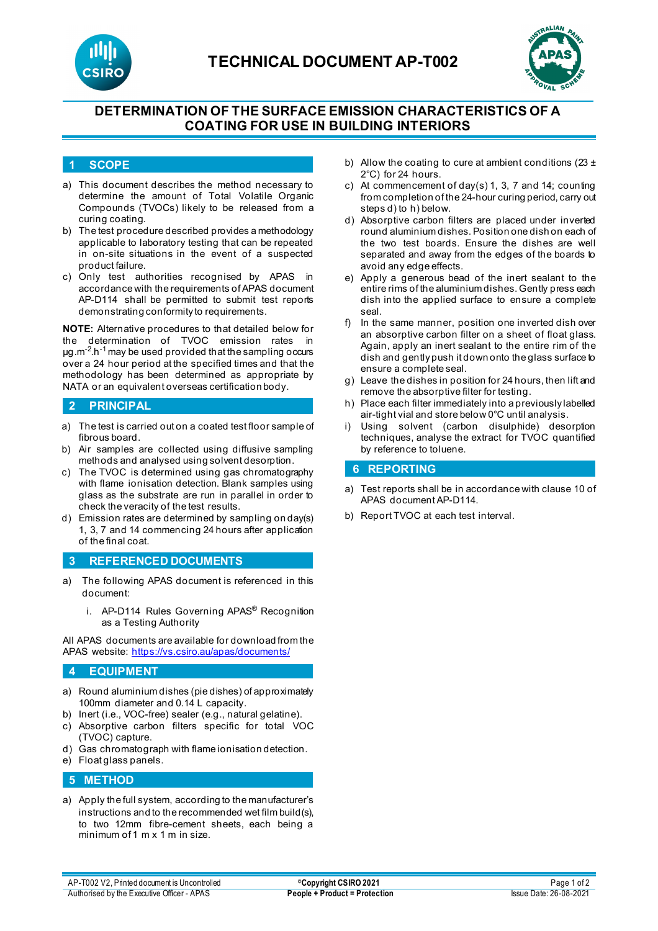



# **DETERMINATION OF THE SURFACE EMISSION CHARACTERISTICS OF A COATING FOR USE IN BUILDING INTERIORS**

### **1 SCOPE**

- a) This document describes the method necessary to determine the amount of Total Volatile Organic Compounds (TVOCs) likely to be released from a curing coating.
- b) The test procedure described provides a methodology applicable to laboratory testing that can be repeated in on-site situations in the event of a suspected product failure.
- c) Only test authorities recognised by APAS in accordance with the requirements of APAS document AP-D114 shall be permitted to submit test reports demonstrating conformity to requirements.

**NOTE:** Alternative procedures to that detailed below for the determination of TVOC emission rates in µg.m-2 .h-1 may be used provided that the sampling occurs over a 24 hour period at the specified times and that the methodology has been determined as appropriate by NATA or an equivalent overseas certification body.

## **2 PRINCIPAL**

- a) The test is carried out on a coated test floor sample of fibrous board.
- b) Air samples are collected using diffusive sampling methods and analysed using solvent desorption.
- c) The TVOC is determined using gas chromatography with flame ionisation detection. Blank samples using glass as the substrate are run in parallel in order to check the veracity of the test results.
- d) Emission rates are determined by sampling on day(s) 1, 3, 7 and 14 commencing 24 hours after application of the final coat.

### **3 REFERENCED DOCUMENTS**

- a) The following APAS document is referenced in this document:
	- i. AP-D114 Rules Governing APAS® Recognition as a Testing Authority

All APAS documents are available for download from the APAS website[: https://vs.csiro.au/apas/documents/](https://vs.csiro.au/apas/documents/)

## **4 EQUIPMENT**

- a) Round aluminium dishes (pie dishes) of approximately 100mm diameter and 0.14 L capacity.
- b) Inert (i.e., VOC-free) sealer (e.g., natural gelatine).
- c) Absorptive carbon filters specific for total VOC (TVOC) capture.
- d) Gas chromatograph with flame ionisation detection.
- e) Float glass panels.

### **5 METHOD**

a) Apply the full system, according to the manufacturer's instructions and to the recommended wet film build(s), to two 12mm fibre-cement sheets, each being a minimum of 1 m x 1 m in size.

- b) Allow the coating to cure at ambient conditions (23  $\pm$ 2°C) for 24 hours.
- c) At commencement of day(s) 1, 3, 7 and 14; counting from completion of the 24-hour curing period, carry out steps d) to h) below.
- d) Absorptive carbon filters are placed under inverted round aluminium dishes. Position one dish on each of the two test boards. Ensure the dishes are well separated and away from the edges of the boards to avoid any edge effects.
- e) Apply a generous bead of the inert sealant to the entire rims of the aluminium dishes. Gently press each dish into the applied surface to ensure a complete seal.
- f) In the same manner, position one inverted dish over an absorptive carbon filter on a sheet of float glass. Again, apply an inert sealant to the entire rim of the dish and gently push it down onto the glass surface to ensure a complete seal.
- g) Leave the dishes in position for 24 hours, then lift and remove the absorptive filter for testing.
- h) Place each filter immediately into a previously labelled air-tight vial and store below 0°C until analysis.
- i) Using solvent (carbon disulphide) desorption techniques, analyse the extract for TVOC quantified by reference to toluene.

#### **6 REPORTING**

- a) Test reports shall be in accordance with clause 10 of APAS document AP-D114.
- b) Report TVOC at each test interval.